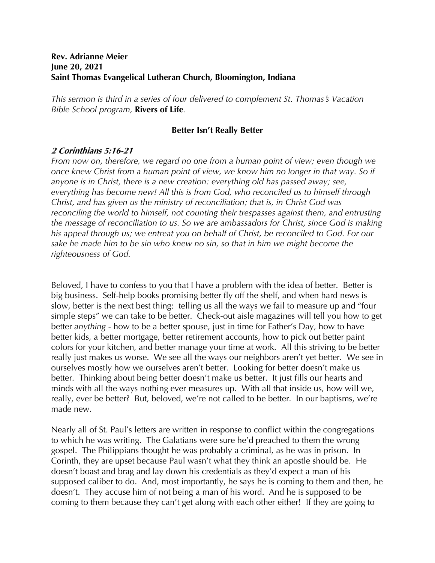## **Rev. Adrianne Meier June 20, 2021 Saint Thomas Evangelical Lutheran Church, Bloomington, Indiana**

*This sermon is third in a series of four delivered to complement St. Thomas*!*s Vacation Bible School program,* **Rivers of Life***.*

## **Better Isn't Really Better**

## **2 Corinthians 5:16-21**

*From now on, therefore, we regard no one from a human point of view; even though we once knew Christ from a human point of view, we know him no longer in that way. So if anyone is in Christ, there is a new creation: everything old has passed away; see, everything has become new! All this is from God, who reconciled us to himself through Christ, and has given us the ministry of reconciliation; that is, in Christ God was reconciling the world to himself, not counting their trespasses against them, and entrusting the message of reconciliation to us. So we are ambassadors for Christ, since God is making his appeal through us; we entreat you on behalf of Christ, be reconciled to God. For our sake he made him to be sin who knew no sin, so that in him we might become the righteousness of God.*

Beloved, I have to confess to you that I have a problem with the idea of better. Better is big business. Self-help books promising better fly off the shelf, and when hard news is slow, better is the next best thing: telling us all the ways we fail to measure up and "four simple steps" we can take to be better. Check-out aisle magazines will tell you how to get better *anything* - how to be a better spouse, just in time for Father's Day, how to have better kids, a better mortgage, better retirement accounts, how to pick out better paint colors for your kitchen, and better manage your time at work. All this striving to be better really just makes us worse. We see all the ways our neighbors aren't yet better. We see in ourselves mostly how we ourselves aren't better. Looking for better doesn't make us better. Thinking about being better doesn't make us better. It just fills our hearts and minds with all the ways nothing ever measures up. With all that inside us, how will we, really, ever be better? But, beloved, we're not called to be better. In our baptisms, we're made new.

Nearly all of St. Paul's letters are written in response to conflict within the congregations to which he was writing. The Galatians were sure he'd preached to them the wrong gospel. The Philippians thought he was probably a criminal, as he was in prison. In Corinth, they are upset because Paul wasn't what they think an apostle should be. He doesn't boast and brag and lay down his credentials as they'd expect a man of his supposed caliber to do. And, most importantly, he says he is coming to them and then, he doesn't. They accuse him of not being a man of his word. And he is supposed to be coming to them because they can't get along with each other either! If they are going to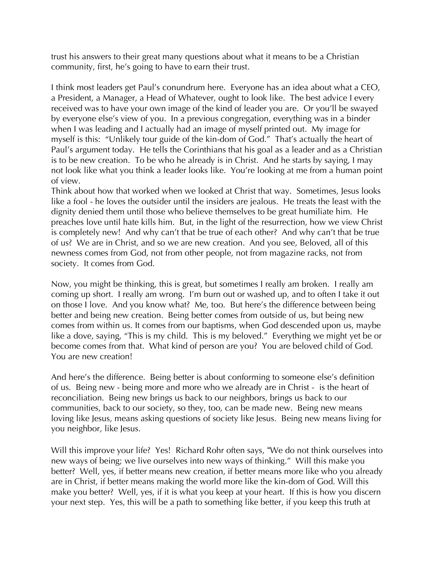trust his answers to their great many questions about what it means to be a Christian community, first, he's going to have to earn their trust.

I think most leaders get Paul's conundrum here. Everyone has an idea about what a CEO, a President, a Manager, a Head of Whatever, ought to look like. The best advice I every received was to have your own image of the kind of leader you are. Or you'll be swayed by everyone else's view of you. In a previous congregation, everything was in a binder when I was leading and I actually had an image of myself printed out. My image for myself is this: "Unlikely tour guide of the kin-dom of God." That's actually the heart of Paul's argument today. He tells the Corinthians that his goal as a leader and as a Christian is to be new creation. To be who he already is in Christ. And he starts by saying, I may not look like what you think a leader looks like. You're looking at me from a human point of view.

Think about how that worked when we looked at Christ that way. Sometimes, Jesus looks like a fool - he loves the outsider until the insiders are jealous. He treats the least with the dignity denied them until those who believe themselves to be great humiliate him. He preaches love until hate kills him. But, in the light of the resurrection, how we view Christ is completely new! And why can't that be true of each other? And why can't that be true of us? We are in Christ, and so we are new creation. And you see, Beloved, all of this newness comes from God, not from other people, not from magazine racks, not from society. It comes from God.

Now, you might be thinking, this is great, but sometimes I really am broken. I really am coming up short. I really am wrong. I'm burn out or washed up, and to often I take it out on those I love. And you know what? Me, too. But here's the difference between being better and being new creation. Being better comes from outside of us, but being new comes from within us. It comes from our baptisms, when God descended upon us, maybe like a dove, saying, "This is my child. This is my beloved." Everything we might yet be or become comes from that. What kind of person are you? You are beloved child of God. You are new creation!

And here's the difference. Being better is about conforming to someone else's definition of us. Being new - being more and more who we already are in Christ - is the heart of reconciliation. Being new brings us back to our neighbors, brings us back to our communities, back to our society, so they, too, can be made new. Being new means loving like Jesus, means asking questions of society like Jesus. Being new means living for you neighbor, like Jesus.

Will this improve your life? Yes! Richard Rohr often says, "We do not think ourselves into new ways of being; we live ourselves into new ways of thinking." Will this make you better? Well, yes, if better means new creation, if better means more like who you already are in Christ, if better means making the world more like the kin-dom of God. Will this make you better? Well, yes, if it is what you keep at your heart. If this is how you discern your next step. Yes, this will be a path to something like better, if you keep this truth at